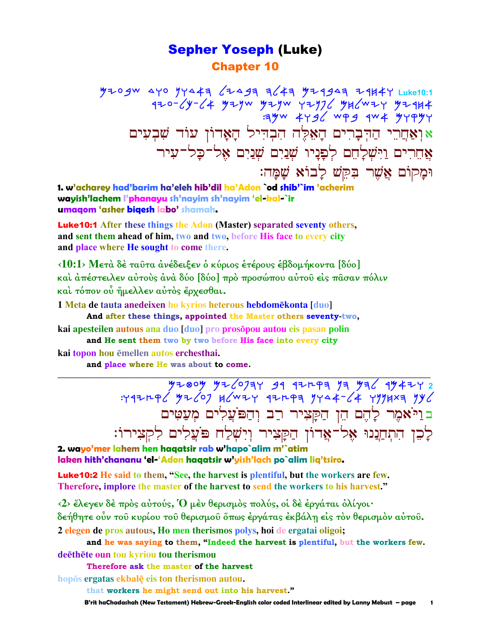# Sepher Yoseph (Luke) Chapter 10

 Myobc dwo nwdah lydbh hlah Myrbdh yrjaw **Luke10:1**   $740$ - $6$ y- $64$  Yıyw Yıyw Yıy $76$  Yı $6$ wıy Yı $4$  $:100$   $4$   $19$   $\ell$   $\leq 9$   $\ell$   $\leq 9$   $\ell$   $\leq 9$   $\ell$   $\leq 9$   $\ell$   $\leq 9$   $\ell$   $\leq 9$   $\ell$   $\leq 9$   $\ell$   $\leq 9$   $\ell$   $\leq 9$   $\ell$   $\leq 9$   $\ell$   $\leq 9$   $\ell$   $\leq 9$   $\ell$   $\leq 9$   $\ell$   $\leq 9$   $\ell$   $\leq 9$   $\ell$   $\leq$ אוְאַחֲרֵי הַדְּבְרִים הָאֵלֶּה הִבְדִיל הָאַדוֹן עוֹד שִׁבִעִים  $\gamma$ אֲחֵרִים וַיִּשְׁלַחֵם לְפַנַיו שְׁנַיִם שָׁנַיִם אֶל־כַל־עָיר וּמָקוֹם אֲשֵׁר בִּקֵשׁ לָבוֹא שָׁמָּה:

**1. w'acharey had'barim ha'eleh hib'dil ha'Adon `od shib'`im 'acherim wayish'lachem l'phanayu sh'nayim sh'nayim 'el-kal-`ir umaqom 'asher biqesh labo' shamah.**

Luke10:1 **After these things the Adon (Master) separated seventy others, and sent them ahead of him, two and two, before His face to every city and place where He sought to come there.** 

**‹10:1› Μετὰ δὲ ταῦτα ἀνέδειξεν ὁ κύριος ἑτέρους ἑβδοµήκοντα [δύο] καὶ ἀπέστειλεν αὐτοὺς ἀνὰ δύο [δύο] πρὸ προσώπου αὐτοῦ εἰς πᾶσαν πόλιν καὶ τόπον οὗ ἤµελλεν αὐτὸς ἔρχεσθαι.** 

**1 Meta de tauta anedeixen ho kyrios heterous hebdomēkonta [duo] And after these things, appointed the Master others seventy-two,**

**kai apesteilen autous ana duo [duo] pro prospou autou eis pasan polin and He sent them two by two before His face into every city**

**kai topon hou mellen autos erchesthai.** 

**and place where He was about to come.** 

**\_\_\_\_\_\_\_\_\_\_\_\_\_\_\_\_\_\_\_\_\_\_\_\_\_\_\_\_\_\_\_\_\_\_\_\_\_\_\_\_\_\_\_\_\_\_\_\_\_\_\_\_\_\_\_\_\_\_\_\_\_\_\_\_\_\_\_\_\_\_\_\_\_\_\_\_\_\_\_\_\_\_\_\_\_\_\_\_\_\_\_\_\_** <u>yı®oy yı/oJay 31 1ırpa ya ya/ 1y4ıyı</u> :wryeql Mylop jlcyw ryeqh nwda-la wnnjth nkl ב וַיֹּאמֶר לַהֵם הֵן הַקַּצִיר רַב וְהַפּ<sup>וֹ</sup>עֲלִים מִעַטִּים לִכֵן הִתְחַנִנוּ אֶל־אֲדוֹן הַקָּצִיר וְיִשְׁלַח פּוֹצֲלִים לִקְצִירוֹ:

**2. wayo'mer lahem hen haqatsir rab w'hapo`alim m'`atim laken hith'chananu 'el-'Adon haqatsir w'yish'lach po`alim liq'tsiro.**

Luke10:2 **He said to them, "See, the harvest is plentiful, but the workers are few. Therefore, implore the master of the harvest to send the workers to his harvest."**

**‹2› ἔλεγεν δὲ πρὸς αὐτούς, Ὁ µὲν θερισµὸς πολύς, οἱ δὲ ἐργάται ὀλίγοι·** 

**δεήθητε οὖν τοῦ κυρίου τοῦ θερισµοῦ ὅπως ἐργάτας ἐκβάλῃ εἰς τὸν θερισµὸν αὐτοῦ.** 

**2 elegen de pros autous, Ho men therismos polys, hoi de ergatai oligoi;** 

**and he was saying to them, "Indeed the harvest is plentiful, but the workers few. deëthëte oun tou kyriou tou therismou** 

**Therefore ask the master of the harvest**

**hops ergatas ekbalÿ eis ton therismon autou. that workers he might send out into his harvest."**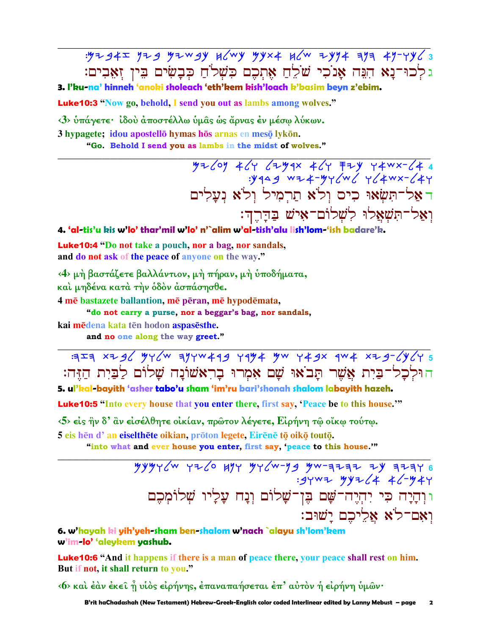$.97945$   $.979$   $.979$   $.999$   $.999$   $.999$   $.9994$   $.9994$   $.9994$   $.9994$   $.9994$   $.9994$ גלכוּ־נַא הִנֵּה אַנֹכִי שֹׁלֵחַ אֶתְכֶם כִּשְׁלֹחַ כִּבְשִׂים בֵּין זָאֲבִים:

3. l'ku-na' hinneh 'anoki sholeach 'eth'kem kish'loach k'basim beyn z'ebim.

**Luke10:3** "Now go, behold, I send you out as lambs among wolves."

<3> υπάγετε· ίδου αποστέλλω υμας ως άρνας έν μέσω λύκων.

3 hypagete; idou apostellō hymas hōs arnas en mesō lykōn.

"Go. Behold I send you as lambs in the midst of wolves."

 $77269$  464 </r> 464 +67 +67 +67 +67 +684;<br>-y14 +67 +67 +684; דאל־תִּשׂאוּ כִים וַלֹּא תַרְמִיל וְלֹא נִעֲלִים וְאֲל־תִּשְׁאֲלוּ לְשָׁלוֹם־אִישׁ בַּדַּרֵהִ:

4. 'al-tis'u kis w'lo' thar'mil w'lo' n'`alim w'al-tish'alu lish'lom-'ish badare'k.

**Luke 10:4** "Do not take a pouch, nor a bag, nor sandals, and do not ask of the peace of anyone on the way."

<4> μή βαστάζετε βαλλάντιον, μή πήραν, μή ύποδήματα, και μηδένα κατά την όδον άσπάσησθε.

4 mē bastazete ballantion, mē pēran, mē hypodēmata,

"do not carry a purse, nor a beggar's bag, nor sandals,

kai mēdena kata tēn hodon aspasēsthe.

and no one along the way greet."

 $777$   $777$   $7796$   $976$   $897$   $1994$   $1994$   $994$   $149x$   $194$   $194$   $1976$   $1976$ הוּלְכָל־בַּיָת אֱשֶׁר תַּבֹאוּ שַׁם אָמְרוּ בָרְאשׁוֹנַה שַׁלוֹם לַבַּיִת הַזֶּה: 5. ul'kal-bayith 'asher tabo'u sham 'im'ru bari'shonah shalom labayith hazeh.

**Luke10:5** "Into every house that you enter there, first say, 'Peace be to this house."

 $\langle 5 \rangle$  είς ήν δ' αν είσέλθητε οικίαν, πρώτον λέγετε, Ειρήνη τω οϊκω τούτω. 5 eis hēn d' an eiselthēte oikian, prōton legete, Eirēnē tō oikō toutō.

"into what and ever house you enter, first say, 'peace to this house."

 $7999760$  approximately young the condrom where when the condrom when the condrom that the condrom of the condrom of the condrom of the condrom of the condrom of the condrom of the condrom of the condrom of the condrom of וּוְהָיָה כִּי יִהְיֵה־שָׁם בֵּן־שַׁלוֹם וְנַח עַלַיו שִׁלוֹמִכֵם ואם־לֹא אליכם ישוּב:

6. w'hayah ki yih'yeh-sham ben-shalom w'nach `alayu sh'lom'kem w'im-lo' 'aleykem yashub.

**Luke10:6** "And it happens if there is a man of peace there, your peace shall rest on him. But if not, it shall return to you."

<6> καὶ ἐὰν ἐκεῖ ἦ υἱὸς εἰρήνης, ἐπαναπαήσεται ἐπ' αὐτὸν ἡ εἰρήνη ὑμῶν·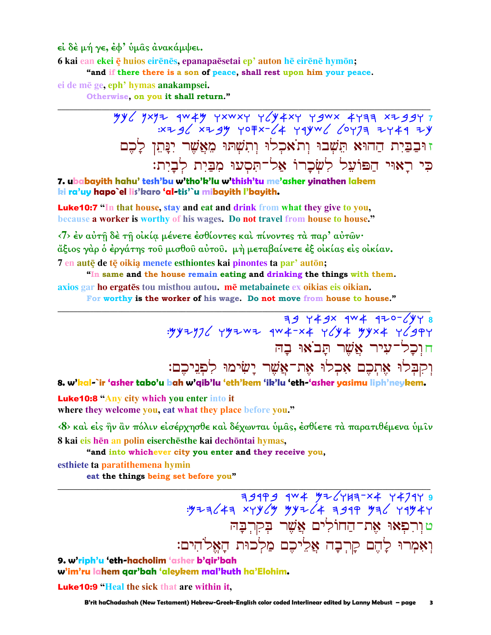εί δέ μή γε, έφ' ύμας ανακάμψει.

6 kai ean ekei ę huios eirenes, epanapaesetai ep' auton he eirene hymon;

"and if there there is a son of peace, shall rest upon him your peace.

ei de mē ge, eph' hymas anakampsei.

Otherwise, on you it shall return."

 $\frac{my}{3}$   $\frac{my}{4}$   $\frac{3}{4}$   $\frac{3}{4}$   $\frac{3}{4}$   $\frac{3}{4}$   $\frac{3}{4}$   $\frac{3}{4}$   $\frac{3}{4}$   $\frac{3}{4}$   $\frac{3}{4}$   $\frac{3}{4}$   $\frac{3}{4}$   $\frac{3}{4}$   $\frac{3}{4}$   $\frac{3}{4}$   $\frac{3}{4}$   $\frac{3}{4}$   $\frac{3}{4}$   $\frac{3}{4}$   $\frac{3}{4}$   $\frac{3}{4}$  :x + g / x + g y y o = x - / 4 y q y w / / o y 7 = + y 4 4 + y זוּבַבַּיִת הַהוֹּא תֵּשָׁבוּ וְתֹאֹכְלוּ וְתִשְׁתוּ מֵאֲשֶׁר יִנַּתֵן לַכֵם כִּי רַאוּי הַפּוֹעֵל לְשָׂכָרוֹ אַל־תִּסְעוּ מִבַּיִת לְבָיִת:

7. ubabayith hahu' tesh'bu w'tho'k'lu w'thish'tu me'asher yinathen lakem ki ra'uy hapo`el lis'karo 'al-tis'`u mibayith l'bayith.

**Luke 10:7** "In that house, stay and eat and drink from what they give to you, because a worker is worthy of his wages. Do not travel from house to house."

 $\langle 7 \rangle$  έν αύτῆ δέ τῆ οἰκία μένετε έσθίοντες και πίνοντες τα παρ' αυτών· άξιος γάρ ὁ ἐργάτης τοῦ μισθοῦ αὐτοῦ. μὴ μεταβαίνετε ἐξ οἰκίας εἰς οἰκίαν. 7 en autē de tē oikia menete esthiontes kai pinontes ta par' autōn;

"In same and the house remain eating and drinking the things with them. axios gar ho ergatēs tou misthou autou. mē metabainete ex oikias eis oikian.

For worthy is the worker of his wage. Do not move from house to house."

 $749$  Y  $49x$   $4W4$   $470$   $\sqrt{948}$ חוכל־עיר אַשר תַבֹאוּ בַה וְקִבְּלוּ אֶתְכֶם אָכְלוּ אֵת־אֲשֵׁר יַשִׂימוּ לִפִניכם:

8. w'kal-`ir 'asher tabo'u bah w'qib'lu 'eth'kem 'ik'lu 'eth-'asher yasimu liph'neykem.

**Luke10:8 "Any city which you enter into it** where they welcome you, eat what they place before you."

<8> και είς ήν αν πόλιν είσέρχησθε και δέχωνται υμας, εσθίετε τα παρατιθέμενα υμιν 8 kai eis hēn an polin eiserchēsthe kai dechōntai hymas,

"and into whichever city you enter and they receive you,

esthiete ta paratithemena hymin

eat the things being set before you"

9 14747 7×7 74747 744 7494 1994 7495<br>4 354 794 1945 744 4/Yyy 744 744 טוַרִפִאוּ אֶת־הַחוֹלִים אֲשֶׁר בְקִרְבָה וָאָמְרוּ לָהֵם קַרִבָה אֱלִיכֶם מַלְכוּת הַאֱלֹהִים:

9. w'riph'u 'eth-hacholim 'asher b'gir'bah w'im'ru lahem qar'bah 'aleykem mal'kuth ha'Elohim.

**Luke 10:9 "Heal the sick that are within it.**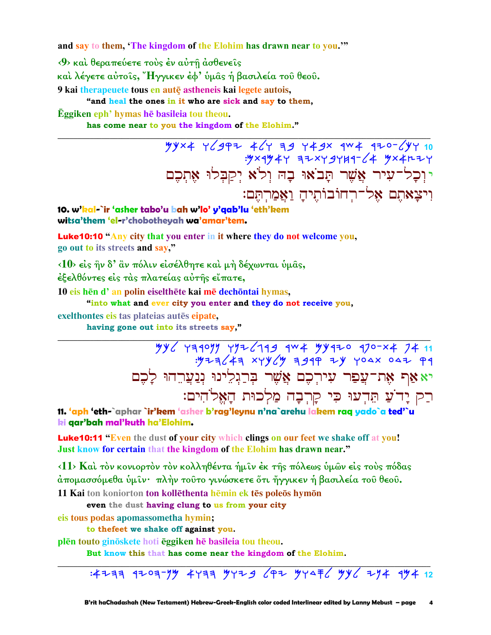and say to them, 'The kingdom of the Elohim has drawn near to you."

<9> και θεραπεύετε τους έν αύτη άσθενεις

καὶ λέγετε αὐτοῖς, "Ηγγικεν ἐφ' ὑμᾶς ἡ βασιλεία τοῦ θεοῦ.

9 kai therapeuete tous en autę astheneis kai legete autois,

"and heal the ones in it who are sick and say to them,

Eggiken eph' hymas he basileia tou theou.

has come near to you the kingdom of the Elohim."

\*\*\*\* 76997 467 39 749x 9W4 970-647 10 יוְכָל־עִיר אֲשֶׁר תָּבֹאוּ בָה וִלֹא יִקַבְּלוּ אֵתְכֶם וִיצַאתֵם אֱל־רְחוֹבוֹתֵיהַ וַאֲמַרְתֵּם:

10. w'kal-`ir 'asher tabo'u bah w'lo' y'qab'lu 'eth'kem witsa'them 'el-r'chobothevah wa'amar'tem.

Luke10:10 "Any city that you enter in it where they do not welcome you, go out to its streets and say,"

<10> είς ην δ' αν πόλιν είσέλθητε και μη δέχωνται υμάς,

έξελθόντες είς τας πλατείας αυτής είπατε,

10 eis hēn d' an polin eiselthēte kai mē dechōntai hymas,

"into what and ever city you enter and they do not receive you,

exelthontes eis tas plateias autēs eipate.

having gone out into its streets say,"

יא אַף אֶת־עֲפַר עִירְכֶם אֲשֶׁר בִּרַגְלִינוּ נִנַעֲרֵהוּ לַכֵם רַק יָדֹעַ תֵּדְעוּ כִּי קַרְבָה מַלִכוּת הַאֵּלֹהִים:

11. 'aph 'eth-`aphar `ir'kem 'asher b'rag'leynu n'na`arehu lakem raq yado`a ted'`u ki qar'bah mal'kuth ha'Elohim.

**Luke10:11 "Even** the dust of your city which clings on our feet we shake off at you! Just know for certain that the kingdom of the Elohim has drawn near."

 $\langle 11 \rangle$  Καί τον κονιορτον τον κολληθέντα ήμιν έκ της πόλεως ύμων είς τους πόδας άπομασσόμεθα ὑμῖν· πλὴν τοῦτο γινώσκετε ὅτι ἤγγικεν ἡ βασιλεία τοῦ θεοῦ.

11 Kai ton koniorton ton kollēthenta hēmin ek tēs poleōs hymōn

even the dust having clung to us from your city

eis tous podas apomassometha hymin;

to thefeet we shake off against you.

plēn touto ginōskete hoti ēggiken hē basileia tou theou.

But know this that has come near the kingdom of the Elohim.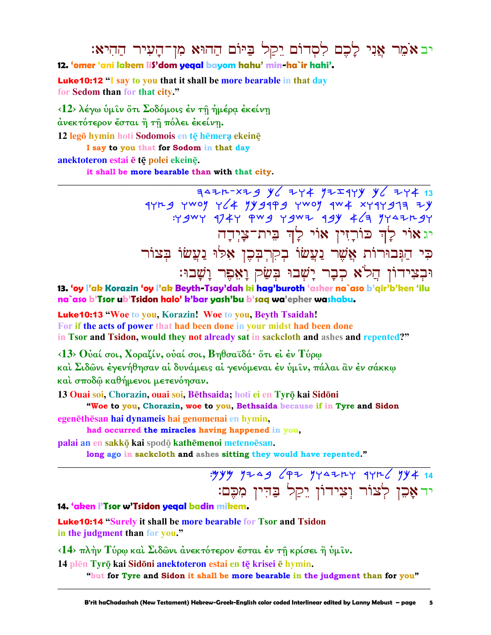# יב אֹמֵר אֲנִי לָכֶם לִסְדוֹם יֵקַל בַּיּוֹם הַהוּא מִן־הָעִיר הַהִיא: 12. 'omer 'ani lakem lis'dom yegal bayom hahu' min-ha`ir hahi'.

**Luke 10:12 "I** say to you that it shall be more bearable in that day for Sedom than for that city."

<12> λέγω υμιν ότι Σοδόμοις έν τη ημέρα έκείνη άνεκτότερον ἔσται ἢ τῆ πόλει ἐκείνῃ. 12 legō hymin hoti Sodomois en tē hēmerą ekeinē

I say to you that for Sodom in that day

## anektoteron estai ē tē polei ekeinē.

it shall be more bearable than with that city.

 $7427r-x79$  y  $274$  y  $772q$ y y  $274q$  $11F9$  ywog y f y gapg ywog aw xyaygan zy :Y 9WY 174Y PW9 Y9WZ 19Y 46 YYAZH9Y יגאוֹי לַךְ כּוֹרָזִין אוֹי לְךְ בִּית־צָיְדָה כִּי הַגִּבוּרוֹת אֲשֶׁר נַעֲשׂוֹ בִקְרִבְּכֶן אָלוּ נַעֲשׂוֹ בָּצוֹר וּבְצִידוֹן הֲלֹא כִבָר יַשְׁבוּ בִּשַׂק וַאָּפֵר וַשָּׁבוּ:

13. 'oy l'ak Korazin 'oy l'ak Beyth-Tsay'dah ki hag'buroth 'asher na`aso b'qir'b'ken 'ilu na`aso b'Tsor ub'Tsidon halo' k'bar yash'bu b'saq wa'epher washabu.

**Luke10:13 "Woe to you, Korazin! Woe to you, Beyth Tsaidah!** For if the acts of power that had been done in your midst had been done in Tsor and Tsidon, would they not already sat in sackcloth and ashes and repented?"

 $\langle 13 \rangle$  θύαί σοι, Χοραζίν, ούαί σοι, Βηθσαϊδά· ὅτι εί έν Τύρω

καὶ Σιδῶνι ἐγενήθησαν αἱ δυνάμεις αἱ γενόμεναι ἐν ὑμῖν, πάλαι ἂν ἐν σάκκω και σποδώ καθήμενοι μετενόησαν.

13 Quai soi, Chorazin, quai soi, Bēthsaida, hoti ei en Tyrō kai Sidōni

"Woe to you, Chorazin, woe to you, Bethsaida because if in Tyre and Sidon egenēthēsan hai dynameis hai genomenai en hymin,

had occurred the miracles having happened in you,

palai an en sakkō kai spodō kathēmenoi metenoēsan.

long ago in sackcloth and ashes sitting they would have repented."

יד אָכֵן לְצוֹר וְצִידוֹן יֵקַל בַּדִּין מִכֶּם:

14. 'aken l'Tsor w'Tsidon yegal badin mikem.

**Luke10:14 "Surely it shall be more bearable for Tsor and Tsidon** in the judgment than for you."

<14> πλήν Τύρω και Σιδώνι άνεκτότερον έσται έν τη κρίσει ή υμίν.

14 plēn Tyrō kai Sidōni anektoteron estai en tē krisei ē hymin.

"but for Tyre and Sidon it shall be more bearable in the judgment than for you"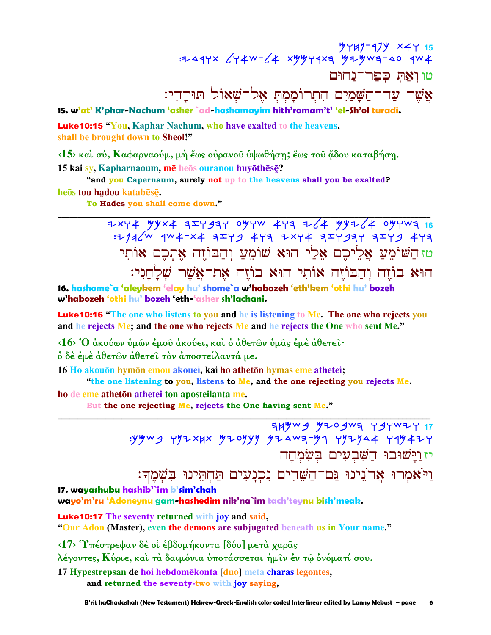15 ۶۲۷ 19۲–۲۳۳<br>۲۳۴ ۵۵-۶۳۳ ۹۶۲–۳۳۳ ۲۹۲۹۳ ۶/۲–۳۷۲ ×۲۲۵۰۰ טו ואת כפר־נחום אֲשֶׁר עַד־הַשָּׁמַיִם הִתְרוֹמַמִתְ אֵל־שִׁאוֹל תּוּרֵדי:

15. w'at' K'phar-Nachum 'asher `ad-hashamayim hith'romam't' 'el-Sh'ol turadi.

**Luke10:15 "You, Kaphar Nachum, who have exalted to the heavens,** shall be brought down to Sheol!"

<15> και σύ, Καφαρναούμ, μή έως ουρανού υψωθήση; έως του άδου καταβήση. 15 kai sv, Kapharnaoum, mē heos ouranou huvōthēsē?

"and you Capernaum, surely not up to the heavens shall you be exalted? heōs tou hadou katabēsē.

To Hades you shall come down."

2xy4 yyx4 3xy33Y 0yyw 4y3 2/4 yy2/4 0yyw3 16<br>2yy4 x4 3xy4 4y3 2xy4 3xy3y4 3xy4 3xy4 4y3; טזהשׁוֹמַעַ אַלִיכִם אַלַי הוּא שׁוֹמֵעַ וְהַבּוֹזֶה אָתְכֶם אוֹתִי הוּא בוֹזֵה וְהַבּוֹזֵה אוֹתִי הוּא בוֹזֵה אֵת־אֲשֶׁר שָׁלַחֲנִי:

16. hashome`a 'aleykem 'elay hu' shome`a w'habozeh 'eth'kem 'othi hu' bozeh w'habozeh 'othi hu' bozeh 'eth-'asher sh'lachani.

**Luke10:16** "The one who listens to you and he is listening to Me. The one who rejects you and he rejects Me; and the one who rejects Me and he rejects the One who sent Me."

 $\langle 16 \rangle$  Ό ακούων υμών εμού ακούει, και ο αθετών υμας εμε αθετεί·

δ δε έμε άθετων άθετει τον άποστείλαντά με.

16 Ho akouōn hymōn emou akouei, kai ho athetōn hymas eme athetei;

"the one listening to you, listens to Me, and the one rejecting you rejects Me. ho de eme atheton athetei ton aposteilanta me.

But the one rejecting Me, rejects the One having sent Me."

FIFWYS WIOSWA YSYWIY 17 yywg yyzxxx yzoyyy yzawa-y1 yyzya4 yay4zy יז וַיַּשׁוּבוּ הַשָּׁבְעִים בִּשְׂמְחָה וַיֹּאמְרוּ אֲדֹנִינוּ גַּם־הַשָּׁדִים נִכְנָעִים תַּחְתֵּינוּ בִשְׁמֶךְ:

17. wayashubu hashib'`im b'sim'chah

wayo'm'ru 'Adoneynu gam-hashedim nik'na`im tach'teynu bish'meak.

**Luke 10:17** The seventy returned with joy and said, "Our Adon (Master), even the demons are subjugated beneath us in Your name."

<17> Υπέστρεψαν δε οι εβδομήκοντα [δύο] μετά χαρας

λέγοντες, Κύριε, καὶ τὰ δαιμόνια ὑποτάσσεται ἡμῖν ἐν τῷ ὀνόματί σου.

17 Hypestrepsan de hoi hebdomēkonta [duo] meta charas legontes,

and returned the seventy-two with joy saying,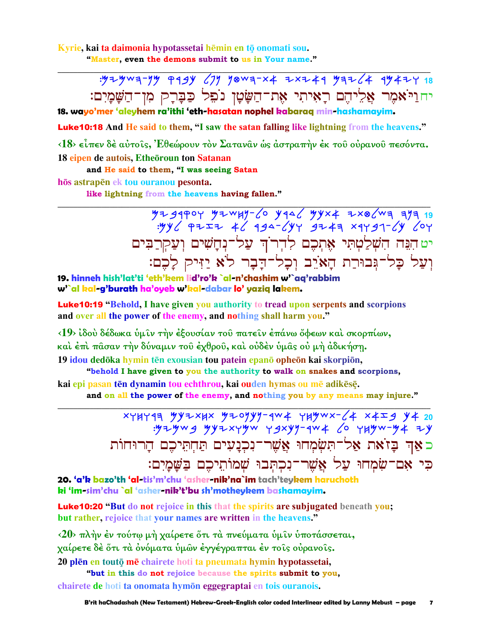Kyrie, kai ta daimonia hypotassetai hēmin en tō onomati sou. "Master, even the demons submit to us in Your name."

> : 524 W + 74 W + 74 W + 74 W + 74 W + 74 W + 74 W + 74 W + 74 W + 74 W + 74 W + 74 W + 74 W + 74 W + 74 W + 74 יחוַיֹּאמִר אַלִיהֵם רָאִיתִי אֵת־הַשָּׂטָן נֹפִל כַּבְּרָק מִן־הַשָּׁמָיִם:

18. wayo'mer 'aleyhem ra'ithi 'eth-hasatan nophel kabarag min-hashamayim.

Luke10:18 And He said to them, "I saw the satan falling like lightning from the heavens."

<18> είπεν δέ αύτοις, Έθεώρουν τον Σαταναν ως άστραπήν έκ του ούρανου πεσόντα. 18 eipen de autois, Etheoroun ton Satanan

and He said to them, "I was seeing Satan

hōs astrapen ek tou ouranou pesonta.

like lightning from the heavens having fallen."

 $7739904$   $79404$   $79404$   $7940$   $7940$   $7940$   $7940$   $7940$   $7940$   $7940$   $7940$   $7940$   $7940$   $7940$   $7940$   $7940$   $7940$   $7940$   $7940$   $7940$   $7940$   $7940$   $7940$   $7940$   $7940$   $7940$   $7940$   $7940$   $7940$   $7940$   $7940$ יט הִנֵּה הִשָּׁלַטְתִּי אֶתְכֶם לְדִר<sup>ֹ</sup>הִ עַל־נְחָשִׁים וְעַקְרַבִּים וְעַל כָּל־גְּבוּרַת הָאֹיֵב וְכָל־דָבָר לֹא יַזִּיק לָכֶם:

19. hinneh hish'lat'ti 'eth'kem lid'ro'k `al-n'chashim w'`aq'rabbim w'`al kal-g'burath ha'oyeb w'kal-dabar lo' yaziq lakem.

**Luke10:19 "**Behold, I have given you authority to tread upon serpents and scorpions and over all the power of the enemy, and nothing shall harm you."

<19> ίδού δέδωκα ύμιν την εξουσίαν του πατείν επάνω όφεων καί σκορπίων, και έπι πάσαν την δύναμιν του έχθρου, και ούδεν ύμας ού μη άδικήση.

19 idou dedōka hymin tēn exousian tou patein epanō opheōn kai skorpiōn, "behold I have given to you the authority to walk on snakes and scorpions,

kai epi pasan tēn dynamin tou echthrou, kai ouden hymas ou mē adikēsē.

and on all the power of the enemy, and nothing you by any means may injure."

xyHyqa yyıxHx yıoyyy-qw4 yHywx-64 x4 59 y4 20<br>yıyy-yyu xyyy-qw4 6 yHyw-y4 iy כאַד בַּזֹאת אַל־תִּשְׂמְחוּ אֲשֶׁר־נִכְנַעִים תַּחְתֵּיכֶם הַרוּחוֹת כִּי אָם־שָׂמְחוּ עַל אֲשֶׁר־נִכְתְּבוּ שָׁמוֹתֵיכֶם בַּשַּׁמַיִם:

20. 'a'k bazo'th 'al-tis'm'chu 'asher-nik'na`im tach'teykem haruchoth ki 'im-sim'chu `al 'asher-nik't'bu sh'mothevkem bashamavim.

**Luke10:20 "But do not rejoice in this that the spirits are subjugated beneath you;** but rather, rejoice that your names are written in the heavens."

<20> πλήν έν τούτω μή χαίρετε ότι τα πνεύματα ύμιν υποτάσσεται, γαίρετε δέ ότι τα ονόματα υμών εγγέγραπται εν τοις ουρανοις. 20 plen en touto me chairete hoti ta pneumata hymin hypotassetai,

"but in this do not rejoice because the spirits submit to you, chairete de hoti ta onomata hymon eggegraptai en tois ouranois.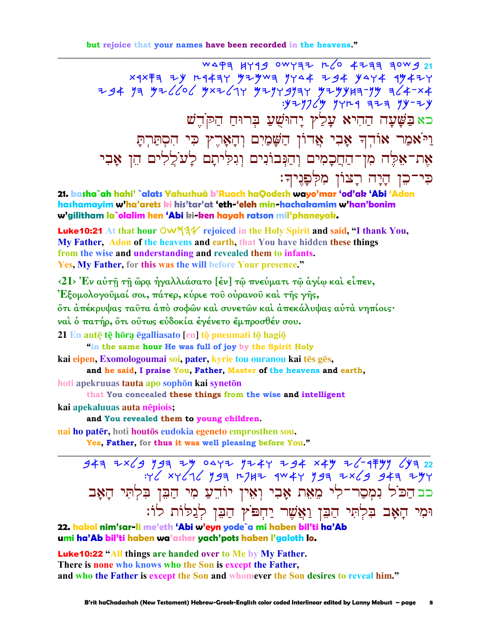but rejoice that your names have been recorded in the heavens."

WAPE HY44 OWYEZ R/O 4233 30W4 21  $x 4x\overline{f}$  7  $x y$   $r 447$   $y y 4$   $y y 4$   $y 4$   $y 4$   $y 4$   $y 4$   $y 4$   $y 4$   $y 4$ כאַ בַּשָּׁעָה הַהִיא עָלַץ יָהוּשֵׁעַ בִּרוּחַ הַקֹּדֵשׁ וַיֹּאמַר אוֹדְךָ אָבִי אֲדוֹן הַשָּׁמַיִם וְהָאָרֶץ כִּי הִסְתַּרְתָּ אֶת־אֶלֶה מִן־הַחֲכָמִים וְהַנְּבוֹנִים וְגִלִּיתָם לַעֹלֵלִים הֵן אָבִי כִּי־כֵן הָיָה רָצוֹן מִלְפָנִיךּ:

21. basha`ah hahi' `alats Yahushuà b'Ruach haQodesh wayo'mar 'od'ak 'Abi 'Adon hashamayim w'ha'arets ki his'tar'at 'eth-'eleh min-hachakamim w'han'bonim w'gilitham la`olalim hen 'Abi ki-ken hayah ratson mil'phaneyak.

**Luke10:21** At that hour  $\overline{OW}$   $\frac{4}{4}$  rejoiced in the Holy Spirit and said, "I thank You, My Father, Adon of the heavens and earth, that You have hidden these things from the wise and understanding and revealed them to infants. Yes, My Father, for this was the will before Your presence."

<21> Έν αύτη τη ώρα ήγαλλιάσατο [έν] τω πνεύματι τω άγίω και είπεν,

Έξομολογοῦμαί σοι, πάτερ, κύριε τοῦ οὐρανοῦ καὶ τῆς γῆς,

ότι άπέκρυψας ταῦτα ἀπὸ σοφῶν καὶ συνετῶν καὶ ἀπεκάλυψας αὐτὰ νηπίοις·

ναι ο πατήρ, ότι ούτως ευδοκία έγένετο έμπροσθέν σου.

21 En autē tē hōra ēgalliasato [en] tō pneumati tō hagiō

"in the same hour He was full of joy by the Spirit Holy

kai eipen, Exomologoumai soi, pater, kyrie tou ouranou kai tēs gēs,

and he said, I praise You, Father, Master of the heavens and earth,

hoti apekruuas tauta apo sophōn kai synetōn

that You concealed these things from the wise and intelligent

kai apekaluuas auta nēpiois;

and You revealed them to young children.

nai ho patēr, hoti houtos eudokia egeneto emprosthen sou.

Yes, Father, for thus it was well pleasing before You."

 $347$  7x(3)  $197$  7y 0472  $174$  724 x44 2(-174) (17 22  $347$  xy (16 y 3 A 1747 4W 4Y y 34 7X 6 347 7Y כב הַכּוֹל נִמְסַר־לִי מֶאֶת אָבִי וְאִין יוֹדֵעַ מִי הַבֵּן בִּלְתִּי הָאָב וּמִי הָאָב בִּלְתִּי הַבֵּן וַאֲשֶׁר יַחִפּוֹץ הַבֵּן לְגַלּוֹת לוֹ:

22. hakol nim'sar-li me'eth 'Abi w'eyn yode`a mi haben bil'ti ha'Ab umi ha'Ab bil'ti haben wa'asher yach'pots haben l'galoth lo.

**Luke 10:22 "All things are handed over to Me by My Father.** There is none who knows who the Son is except the Father, and who the Father is except the Son and whomever the Son desires to reveal him."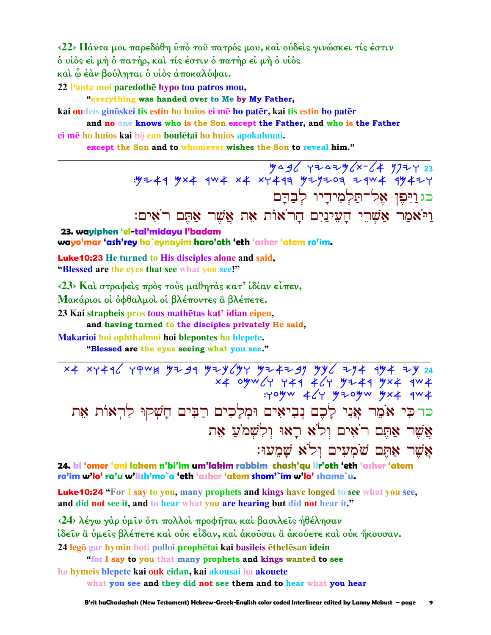**‹22› Πάντα µοι παρεδόθη ὑπὸ τοῦ πατρός µου, καὶ οὐδεὶς γινώσκει τίς ἐστιν ὁ υἱὸς εἰ µὴ ὁ πατήρ, καὶ τίς ἐστιν ὁ πατὴρ εἰ µὴ ὁ υἱὸς** 

**καὶ ᾧ ἐὰν βούληται ὁ υἱὸς ἀποκαλύψαι.** 

22 Panta moi paredothe hypo tou patros mou,

**"everything was handed over to Me by My Father,**

**kai oudeis ginskei tis estin ho huios ei m ho patr, kai tis estin ho patr**

**and no one knows who is the Son except the Father, and who is the Father ei mē** ho huios kai hō ean boulētai ho huios apokaluuai.

**\_\_\_\_\_\_\_\_\_\_\_\_\_\_\_\_\_\_\_\_\_\_\_\_\_\_\_\_\_\_\_\_\_\_\_\_\_\_\_\_\_\_\_\_\_\_\_\_\_\_\_\_\_\_\_\_\_\_\_\_\_\_\_\_\_\_\_\_\_\_\_\_\_\_\_\_\_\_\_\_\_\_\_\_\_\_\_\_\_\_\_\_\_**

**except the Son and to whomever wishes the Son to reveal him."** 

Mag +2a2m/x- (4 m724 23  $: yz + 4$   $y \times 4$   $y \times 4$   $x + x + 4$   $yz + 4$   $z = 4$   $x + 4$   $yz + 4$ כג וַיִּפֵן אֵל־תַּלְמִידַיו לִבדם וַיֹּאָמַר אַשְׁרֵי הָעִינַיִם הָרֹאוֹת אֵת אֲשֶׁר אַתָּם רֹאִים:

**23. wayiphen 'el-tal'midayu l'badam wayo'mar 'ash'rey ha`eynayim haro'oth 'eth 'asher 'atem ro'im.**

Luke10:23 **He turned to His disciples alone and said, "Blessed are the eyes that see what you see!"**

**‹23› Καὶ στραφεὶς πρὸς τοὺς µαθητὰς κατ' ἰδίαν εἶπεν, Μακάριοι οἱ ὀφθαλµοὶ οἱ βλέποντες ἃ βλέπετε.** 

23 Kai strapheis pros tous mathetas kat' idian eipen,

**and having turned to the disciples privately He said,**

**Makarioi hoi ophthalmoi hoi blepontes ha blepete.** 

**"Blessed are the eyes seeing what you see."** 

X4 XY496 YPWH YZ*9*9 YIY6'YY YI4I*9*Y YY6 IY4 9Y4 IY 24  $x$   $x$   $y$   $\sim$   $\zeta$   $y$   $\sim$   $\zeta$   $\zeta$   $\zeta$   $\zeta$   $\zeta$   $\zeta$   $\zeta$   $\zeta$   $\zeta$   $\zeta$   $\zeta$   $\zeta$   $\zeta$   $\zeta$   $\zeta$   $\zeta$   $\zeta$   $\zeta$   $\zeta$   $\zeta$   $\zeta$   $\zeta$   $\zeta$   $\zeta$   $\zeta$   $\zeta$   $\zeta$   $\zeta$   $\zeta$   $\zeta$   $\zeta$   $\z$  $:$ yoyw  $4$  /y y zoyw yx  $4$  qw  $4$ כדכי אֹמֵר אֲנִי לַכֵם נִבִיאִים וּמִלַכִים רַבִּים חַשִּׁקוּ לְרִאוֹת אֶת אֲשֶׁר אָתֶם רֹאִים וְלֹא רַאוּ וְלְשָׁמֹעַ אָת אֲשֶׁר אָהָם שֹׁמְעִים וְל<sup>ֹ</sup>א שָׁמְעוּ:

**\_\_\_\_\_\_\_\_\_\_\_\_\_\_\_\_\_\_\_\_\_\_\_\_\_\_\_\_\_\_\_\_\_\_\_\_\_\_\_\_\_\_\_\_\_\_\_\_\_\_\_\_\_\_\_\_\_\_\_\_\_\_\_\_\_\_\_\_\_\_\_\_\_\_\_\_\_\_\_\_\_\_\_\_\_\_\_\_\_\_\_\_\_**

**24. ki 'omer 'ani lakem n'bi'im um'lakim rabbim chash'qu lir'oth 'eth 'asher 'atem ro'im w'lo' ra'u w'lish'mo`a 'eth 'asher 'atem shom'`im w'lo' shame`u.**

Luke10:24 **"For I say to you, many prophets and kings have longed to see what you see, and did not see it, and to hear what you are hearing but did not hear it."**

**‹24› λέγω γὰρ ὑµῖν ὅτι πολλοὶ προφῆται καὶ βασιλεῖς ἠθέλησαν ἰδεῖν ἃ ὑµεῖς βλέπετε καὶ οὐκ εἶδαν, καὶ ἀκοῦσαι ἃ ἀκούετε καὶ οὐκ ἤκουσαν. 24 legō gar hymin** hoti polloi prophētai kai basileis ēthelēsan idein

**"for I say to you that many prophets and kings wanted to see ha hymeis blepete kai ouk eidan, kai akousai ha akouete what you see and they did not see them and to hear what you hear**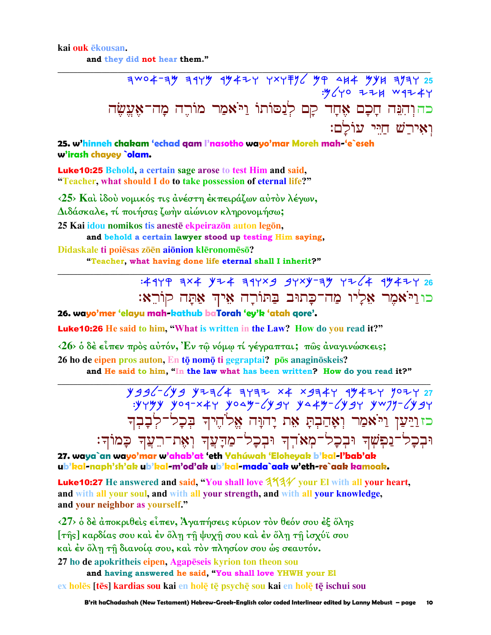#### kai ouk ekousan.

and they did not hear them."

 $7004 - 79$  7179 1942 727796 99 444 994 7972 : y ( y o = = = x w q = + y כהוְהִגֵּה חָכָם אֶחָד קָם לְנַסוֹתוֹ וַיֹּאמַר מוֹרֵה מַה־אַעֵשׂה וְאִירַשׁ חַיֵּי עוֹלם:

25. w'hinneh chakam 'echad gam l'nasotho wayo'mar Moreh mah-'e`eseh w'irash chayey `olam.

**Luke 10:25 Behold, a certain sage arose to test Him and said,** "Teacher, what should I do to take possession of eternal life?"

<25> Και ίδου νομικός τις άνέστη έκπειράζων αύτον λέγων, Διδάσκαλε, τί ποιήσας ζωήν αίώνιον κληρονομήσω; 25 Kai idou nomikos tis anestē ekpeirazōn auton legōn, and behold a certain lawyer stood up testing Him saying, Didaskale ti poiēsas zōēn aiōnion klēronomēsō? "Teacher, what having done life eternal shall I inherit?"

# : 4449 3x4 474 344x9 94x4-34 4764 47477 26 כו וַיֹּאמֶר אֶלָיו מַה־כָּתוּב בַּתּוֹרָה אֵיךְ אַתָּה קוֹרֵאָ:

26. wayo'mer 'elayu mah-kathub baTorah 'ey'k 'atah qore'.

**Luke10:26** He said to him, "What is written in the Law? How do you read it?"

 $\langle 26 \rangle$  ο δέ είπεν προς αύτόν, Έν τω νόμω τί γέγραπται; πως αναγινώσκεις;

26 ho de eipen pros auton, En tō nomō ti gegraptai? pōs anaginōskeis? and He said to him, "In the law what has been written? How do you read it?"

> $Y996^{-}$   $Y99$   $Y776$   $4777$   $X4$   $X974$   $Y$   $994$   $Y$   $907$   $Y$   $27$  $y + y + y$  yoq-x44 youy-64gy ya4y-64gy yw7y-64gy כזוַיַּעַן וַיֹּאמַר וְאָהַבְתָּ אֵת יָהוָּה אֱלֹהֵיךְ בִּכָל־לְבָבְךָ וּבִכָל־נַפִּשְׁךְ וּבִכָל־מִאֹדְךָ וּבִכָל־מַדָּעֲךְ וְאָת־רֵעֲךְ כָּמוֹךְ:

27. waya`an wayo'mar w'ahab'at 'eth Yahúwah 'Eloheyak b'kal-l'bab'ak ub'kal-naph'sh'ak ub'kal-m'od'ak ub'kal-mada`aak w'eth-re`aak kamoak.

Luke10:27 He answered and said, "You shall love 3734 your El with all your heart, and with all your soul, and with all your strength, and with all your knowledge, and your neighbor as yourself."

 $\langle 27 \rangle$  δ δέ άποκριθείς είπεν, Άγαπήσεις κύριον τον θεόν σου έξ όλης [της] καρδίας σου και έν όλη τη ψυχη σου και έν όλη τη ισχύϊ σου καὶ ἐν ὅλη τῆ διανοία σου, καὶ τὸν πλησίον σου ώς σεαυτόν.

27 ho de apokritheis eipen, Agapeseis kyrion ton theon sou and having answered he said, "You shall love YHWH your El ex holēs [tēs] kardias sou kai en holē tē psychē sou kai en holē tē ischui sou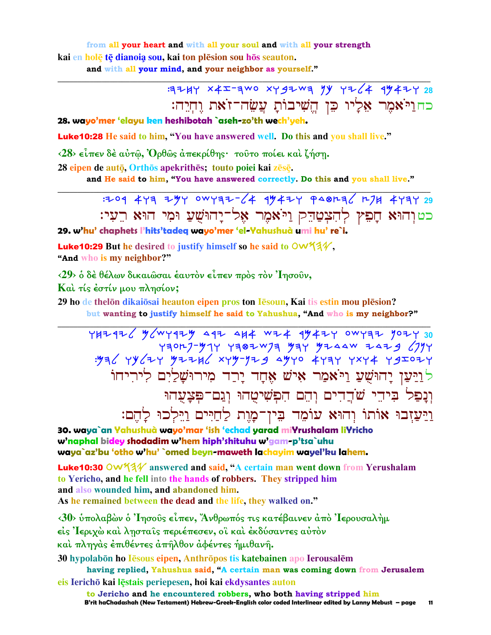from all your heart and with all your soul and with all your strength kai en holē tē dianoja sou, kai ton plēsion sou hōs seauton. and with all your mind, and your neighbor as yourself."

> כחולאמר אליו כו השיבות עשה־זאת וחיה:

28. wayo'mer 'elayu ken heshibotah `aseh-zo'th wech'veh.

Luke10:28 He said to him, "You have answered well. Do this and you shall live."

 $\langle 28 \rangle$  είπεν δέ αύτ $\hat{\omega}$ , Όρθως άπεκρίθης· τούτο ποίει και ζήση.

28 eipen de autō, Orthōs apekrithēs; touto poiei kai zēsē.

and He said to him, "You have answered correctly. Do this and you shall live."

 $7294$  443 244 0W432-64 44424 948236 274 4434 29 כטוהוא חַפִּץ לְהִצְטַהֵק וַיֹּאמֶר אֱל־יַהוּשָׁעַ וּמִי הוּא רֵעִי:

29. w'hu' chaphets l'hits'tadea wayo'mer 'el-Yahushuà umi hu' re`i.

**Luke 10:29** But he desired to justify himself so he said to  $\text{OW44}\},$ "And who is my neighbor?"

<29> δ δέ θέλων δικαιώσαι έαυτόν είπεν πρός τον Ίησουν,

Και τίς έστίν μου πλησίον;

29 ho de thelon dikaiosai heauton eipen pros ton Iesoun, Kai tis estin mou plesion?

but wanting to justify himself he said to Yahushua, "And who is my neighbor?"

YHZ426 MGWY4ZY 44Z 4H4 WZ4 4Y4ZY OWY7Z YOZY 30  $\frac{1}{2}$   $\frac{1}{2}$   $\frac{1}{2}$   $\frac{1}{2}$   $\frac{1}{2}$   $\frac{1}{2}$   $\frac{1}{2}$   $\frac{1}{2}$   $\frac{1}{2}$   $\frac{1}{2}$   $\frac{1}{2}$   $\frac{1}{2}$   $\frac{1}{2}$   $\frac{1}{2}$   $\frac{1}{2}$   $\frac{1}{2}$   $\frac{1}{2}$   $\frac{1}{2}$   $\frac{1}{2}$   $\frac{1}{2}$   $\frac{1}{2}$   $\frac{1}{2}$  <u>לויַעַן יַהוּשָׁעַ וַיֹּאמַר אַישׁ אָחַד יַרֵד מִירוּשַׁלַיִם לִירִיחוֹ</u> וְנַפַל בִּיהֵי שֹׁהֲדִים וְהֵם הִפְשִׁיטָהוּ וְגַם־פִּצָעָהוּ וַיַּעַזְבוּ אוֹתוֹ וְהוּא עוֹמֵד בִּין־מָוֶת לַחַיִּים וַיֵּלְכוּ לַהֵם:

30. waya`an Yahushuà wayo'mar 'ish 'echad yarad miYrushalam liYricho w'naphal bidey shodadim w'hem hiph'shituhu w'gam-p'tsa`uhu waya`az'bu 'otho w'hu' `omed beyn-maweth lachayim wayel'ku lahem.

Luke10:30 OW534 answered and said, "A certain man went down from Yerushalam to Yericho, and he fell into the hands of robbers. They stripped him and also wounded him, and abandoned him. As he remained between the dead and the life, they walked on."

<30> ύπολαβών ο Ίησους είπεν, Άνθρωπός τις κατέβαινεν από Ίερουσαλήμ

είς 'Ιεριχώ και λησταις περιέπεσεν, οι και εκδύσαντες αυτόν

καὶ πληγὰς ἐπιθέντες ἀπῆλθον ἀφέντες ἡμιθανῆ.

30 hypolabon ho Iesous eipen, Anthropos tis katebainen apo Ierousalem

having replied, Yahushua said, "A certain man was coming down from Jerusalem eis Ierichō kai lēstais periepesen, hoi kai ekdysantes auton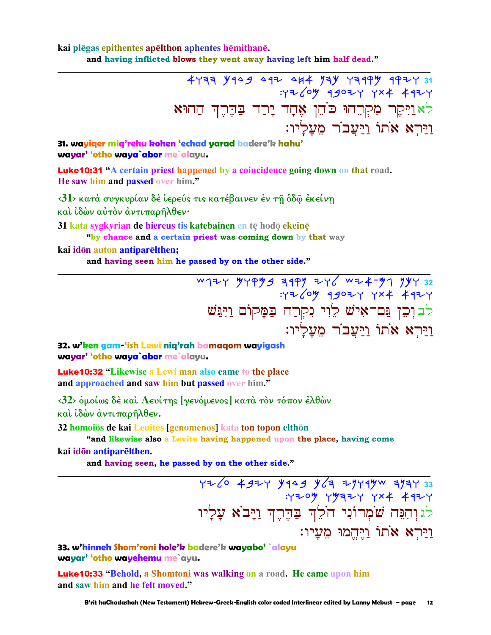### kai plēgas epithentes apēlthon aphentes hēmithanē. and having inflicted blows they went away having left him half dead."

4733 9449 442 444 974 73199 4927 31 :42 LOW 49024 YX4 4924 לאַוַיִּקֶר מִקְרֵהוּ כֹּהֵן אֶחָד יָרַד בַּהֶרֶךְ הַהוּא <u>וירא אתו ויעבר מעליו:</u>

31. wayiger mig'rehu kohen 'echad yarad badere'k hahu' wayar' 'otho waya`abor me`alayu.

**Luke10:31 "A certain priest happened by a coincidence going down on that road.** He saw him and passed over him."

<31> κατά συγκυρίαν δέ ίερεύς τις κατέβαινεν έν τη όδω έκείνη και ίδών αύτον αντιπαρήλθεν·

31 kata svgkvrian de hiereus tis katebainen en tē hodō ekeinē

"by chance and a certain priest was coming down by that way

kai idōn auton antiparēlthen;

and having seen him he passed by on the other side."

W177 747 742 276 1997 744 1997 744 1997<br>۲+4 7×4 7+900 1907: לבוִכֵן גַּם־אָישׁ לֵוִי נִקְרַה בַּמֲקוֹם וַיִּגַּשׁ וירא אתו ויעבר מעליו:

32. w'ken gam-'ish Lewi niq'rah bamaqom wayigash wayar' 'otho waya`abor me`alayu.

**Luke 10:32 "Likewise a Lewi man also came to the place** and approached and saw him but passed over him."

<32> δμοίως δέ και Λευίτης [γενόμενος] κατά τον τόπον έλθών και ίδών άντιπαρήλθεν.

32 homoios de kai Leuites [genomenos] kata ton topon elthon

"and likewise also a Levite having happened upon the place, having come

kai idōn antiparēlthen.

and having seen, he passed by on the other side."

726 4924 9949 964 7749 9747 33<br>744 744 744 7944 794: לגוְהִנֵּה שֹׁמְרוֹנִי הֹלֵ<mark>וְד בַ</mark>הֶרֶךְ וַיָּבֹא עָלָיו <u>וירא אתו ויחמו מעיו:</u>

33. w'hinneh Shom'roni hole'k badere'k wayabo' `alayu wayar' 'otho wayehemu me`ayu.

**Luke10:33 "Behold, a Shomtoni was walking on a road. He came upon him** and saw him and he felt moved."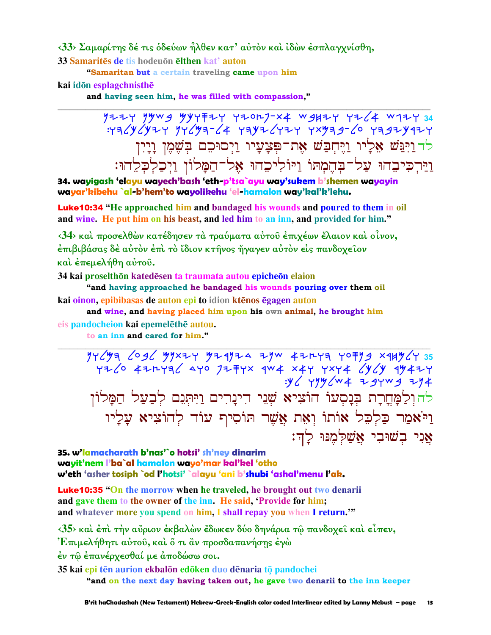<33> Σαμαρίτης δέ τις όδεύων ήλθεν κατ' αύτον και ίδων έσπλαγχνίσθη,

33 Samarites de tis hodeuon elthen kat' auton

"Samaritan but a certain traveling came upon him

## kai idōn esplagchnisthē

and having seen him, he was filled with compassion,"

 $7724$   $79949$   $9947724$   $72017-x4$   $9877$   $724$   $147434$  $Y=775/97/97/977/4$   $Y=79/97/977$   $Y=77/977/977$ לד וַיִּבִּשׁ אָלַיו וַיִּחִבַּשׁ אֶת־פִּצָעָיו וַיִסוּכֵם בִּשָׁמֵן וָיָיִן וַיַּרְכִּיבֵהוּ עֲלֹדבְהֶמְתוֹ וַיּוֹלִיכֵהוּ אֱלֹדהֲמָלוֹן וַיִּכֲלִכְלֶהוּ:

34. wayigash 'elayu wayech'bash 'eth-p'tsa`ayu way'sukem b'shemen wayayin wayar'kibehu `al-b'hem'to wayolikehu 'el-hamalon way'kal'k'lehu.

**Luke10:34** "He approached him and bandaged his wounds and poured to them in oil and wine. He put him on his beast, and led him to an inn, and provided for him."

<34> και προσελθών κατέδησεν τα τραύματα αύτου έπιχέων έλαιον και οίνον, έπιβιβάσας δέ αὐτὸν ἐπὶ τὸ ἴδιον κτῆνος ἤγαγεν αὐτὸν εἰς πανδοχεῖον και έπεμελήθη αύτου.

34 kai proselthōn katedēsen ta traumata autou epicheōn elaion

"and having approached he bandaged his wounds pouring over them oil kai oinon, epibibasas de auton epi to idion ktēnos ēgagen auton

and wine, and having placed him upon his own animal, he brought him eis pandocheion kai epemelēthē autou.

to an inn and cared for him."

 $77696$  yr 1936 yr 1974 a yw 42 hau yofig x 14 y 14 15<br>Yz 10 42 hadd yr 1947 yr 1944 a yn 1942 yr 1944  $.96$   $.99$   $\sqrt{w}$  +  $7.99$   $\sqrt{4}$ להולִמָּחָרָת בִּנָסְעוֹ הוֹצִיא שָׁנֵי דִינָרִים וַיִּתְּנֵם לְבַעַל הַמָּלוֹן וַיֹּאמַר כַּלְכֶל אוֹתוֹ וְאָת אֱשֶׁר תּוֹסִיף עוֹד לְהוֹצִיא עַלַיו אֲנִי בִשׁוּבִי אֲשַׁלְמֶנּוּ לַדְ:

35. w'lamacharath b'nas'`o hotsi' sh'ney dinarim wayit'nem l'ba`al hamalon wayo'mar kal'kel 'otho w'eth 'asher tosiph `od l'hotsi' `alayu 'ani b'shubi 'ashal'menu l'ak.

**Luke10:35 "On the morrow when he traveled, he brought out two denarii** and gave them to the owner of the inn. He said, 'Provide for him; and whatever more you spend on him. I shall repay you when I return."

<35> και έπι την αύριον έκβαλών έδωκεν δύο δηνάρια τω πανδοχεί και είπεν,

Επιμελήθητι αύτου, και δ τι αν προσδαπανήσης έγω

έν τῶ ἐπανέρχεσθαί με ἀποδώσω σοι.

35 kai epi tēn aurion ekbalōn edōken duo dēnaria tō pandochei "and on the next day having taken out, he gave two denarii to the inn keeper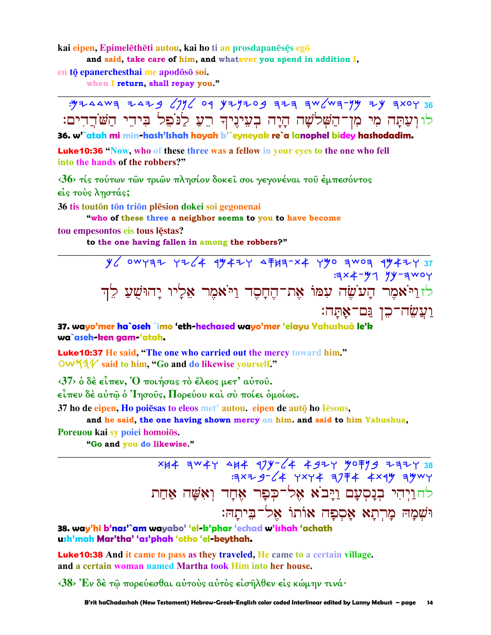kai eipen, Epimelēthēti autou, kai ho ti an prosdapanēsēs egō

and said, take care of him, and whatever you spend in addition I.

en tō epanerchesthai me apodōsō soi.

when I return, shall repay you."

: y z 44w = z 4z 3 (7) 6 9 y z y z 0g = z = = w (w = - y = x = x 0 y 36 לוּ וְעַתָּה מִי מִן־הַשָּׁלֹשָׁה הָיָה בִעִינֵיךְ רֵעַ לַנֹּבֵל בִּידֵי הַשֹּׂדֵדִים: 36. w<sup>1</sup>atah mi min-hash'Ishah hayah b'`eyneyak re`a lanophel bidey hashodadim.

**Luke10:36 "Now, who of these three was a fellow in your eyes to the one who fell** into the hands of the robbers?"

<36> τίς τούτων των τριών πλησίον δοκεί σοι γεγονέναι του έμπεσόντος είς τούς ληστάς;

36 tis toutōn tōn triōn plēsion dokei soi gegonenai

"who of these three a neighbor seems to you to have become

tou empesontos eis tous lęstas?

to the one having fallen in among the robbers?"

 $y'$  owyaz yz 4 99424 47117 24 790 700 94427 37  $3x + y_1 y - 3x_1$ לזוַיֹּאמֶר הָעֹשָׂה עִמּוֹ אָת־הֵחַםָּד וַיֹּאמֶר אַלַיו יַהוּשָׁעַ לֵדְ <u>וַעֲשָׂה־כֵן נַּם־אָתָּה:</u>

37. wayo'mer ha`oseh `imo 'eth-hechased wayo'mer 'elayu Yahushuà le'k wa`aseh-ken gam-'atah.

Luke10:37 He said, "The one who carried out the mercy toward him." OW534 said to him, "Go and do likewise yourself."

 $\langle 37 \rangle$  ο δέ είπεν,  $\langle 0 \rangle$  ποιήσας το έλεος μετ' αύτου.

είπεν δέ αύτω ο Ίησους, Πορεύου και σύ ποίει ομοίως.

37 ho de eipen, Ho poiesas to eleos met' autou, eipen de auto ho Iesous,

and he said, the one having shown mercy on him. and said to him Yahushua,

Poreuou kai sy poiei homoiōs.

"Go and you do likewise."

XH4 AW4Y 4H4 174-64 4924 5079 2777 38  $7779 - 64$  YXY4 37 74 4 x 4 3 3 4 y לחויהי בנסעם ויבא אל־כפר אחד ואשה אחת וּשׁמה מרתא אספה אותו אל־ביתה:

38. way'hi b'nas'`am wayabo' 'el-k'phar 'echad w'ishah 'achath ush'mah Mar'tha' 'as'phah 'otho 'el-beythah.

**Luke10:38** And it came to pass as they traveled, He came to a certain village. and a certain woman named Martha took Him into her house.

 $\langle 38 \rangle$  Έν δέ τω πορεύεσθαι αύτους αύτος είσηλθεν είς κώμην τινά·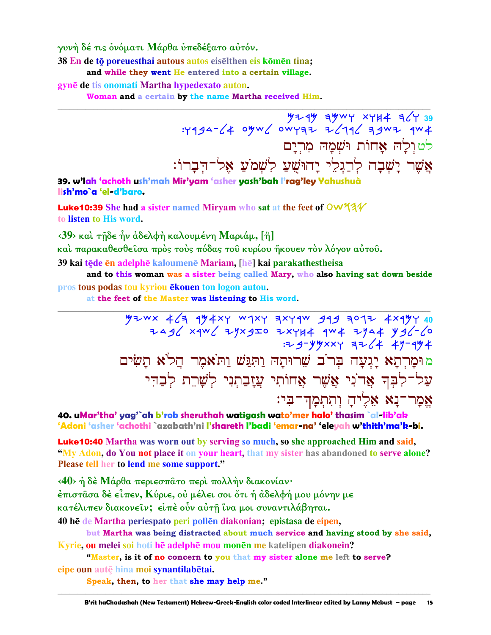γυνή δέ τις ονόματι Μάρθα υπεδέξατο αυτόν.

38 En de tō poreuesthai autous autos eisēlthen eis kōmēn tina;

and while they went He entered into a certain village.

gynē de tis onomati Martha hypedexato auton.

Woman and a certain by the name Martha received Him.

לטולה אחות ושמה מרים אֲשֶׁר יָשְׁבָה לְרַגְלֵי יָהוּשֵׁעַ לִשְׁמֹעַ א<sub>ָ</sub>ל־הִבָרוֹ:

39. w'lah 'achoth ush'mah Mir'yam 'asher yash'bah l'rag'ley Yahushuà lish'mo`a 'el-d'baro.

Luke10:39 She had a sister named Miryam who sat at the feet of OW53V to listen to His word.

 $\langle 39 \rangle$  και τήδε ήν άδελφή καλουμένη Μαριάμ, [ή]

και παρακαθεσθείσα πρός τους πόδας του κυρίου ήκουεν τον λόγον αύτου.

39 kai tēde ēn adelphē kaloumenē Mariam, [hē] kai parakathestheisa

and to this woman was a sister being called Mary, who also having sat down beside pros tous podas tou kyriou ekouen ton logon autou.

at the feet of the Master was listening to His word.

 $464$  yzwx  $464$  qy  $4 \times 4$  w  $1 \times 4$  axy qw  $919$  and  $1 \times 4$  x  $1 \times 4$  $7496$  xqw6 zyxgIo zxyk4 qw4 zya4 yg6-60  $: 7 - 9 - 9$   $9 - 8 - 12$   $1 - 49 - 49 + 12$ מוּמַרְתַא יַגִעָה בְּרֹב שֶׁרוּתַהּ וַתְּנַּשׁ וַתּאֹמֶר הֲלֹא תַשִּׂים עַל־לִבְךָ אֲדֹנִי אֲשֶׁר אֲחוֹתִי עֲזָבַתְנִי לְשָׁרֵת לְבַדִּי אֱמַר־נַא אֶלֵיהַ וְתְתְמַדִּ־בִּי:

40. uMar'tha' yag'`ah b'rob sheruthah watigash wato'mer halo' thasim `al-lib'ak 'Adoni 'asher 'achothi `azabath'ni l'shareth l'badi 'emar-na' 'eleyah w'thith'ma'k-bi.

**Luke10:40** Martha was worn out by serving so much, so she approached Him and said, "My Adon, do You not place it on your heart, that my sister has abandoned to serve alone? Please tell her to lend me some support."

<40> ή δέ Μάρθα περιεσπάτο περί πολλήν διακονίαν·

έπιστασα δέ είπεν, Κύριε, οὐ μέλει σοι ὅτι ή ἀδελφή μου μόνην με

κατέλιπεν διακονεῖν; εἰπὲ οὖν αὐτῆ ἴνα μοι συναντιλάβηται.

40 hē de Martha periespato peri pollēn diakonian; epistasa de eipen,

but Martha was being distracted about much service and having stood by she said, Kyrie, ou melei soi hoti hē adelphē mou monēn me katelipen diakonein?

"Master, is it of no concern to you that my sister alone me left to serve? eipe oun autē hina moi synantilabētai.

Speak, then, to her that she may help me."